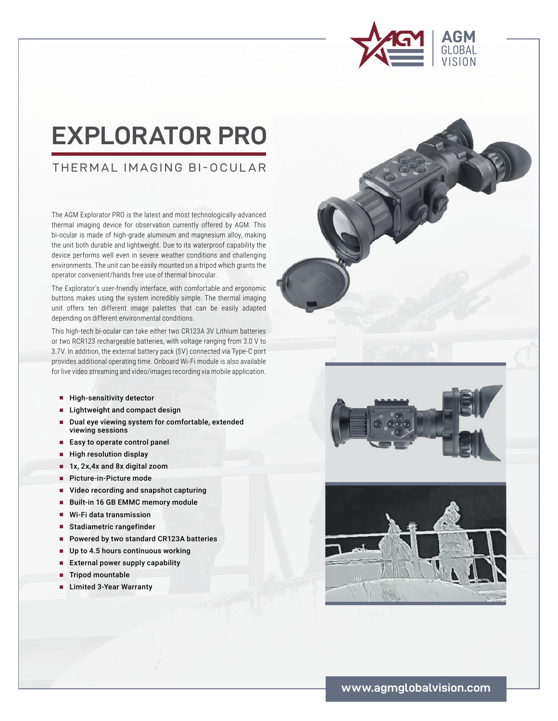

## **EXPLORATOR PRO**

## THERMAL IMAGING BI-OCULAR

The AGM Explorator PRO is the latest and most technologically-advanced thermal imaging device for observation currently offered by AGM. This bi-ocular is made of high-grade aluminum and magnesium alloy, making the unit both durable and lightweight. Due to its waterproof capability the device performs well even in severe weather conditions and challenging environments. The unit can be easily mounted on a tripod which grants the operator convenient/hands free use of thermal binocular.

The Explorator's user-friendly interface, with comfortable and ergonomic buttons makes using the system incredibly simple. The thermal imaging unit offers ten different image palettes that can be easily adapted depending on different environmental conditions.

This high-tech bi-ocular can take either two CR123A 3V Lithium batteries or two RCR123 rechargeable batteries, with voltage ranging from 3.0 V to 3.7V. In addition, the external battery pack (5V) connected via Type-C port provides additional operating time. Onboard Wi-Fi module is also available for live video streaming and video/images recording via mobile application.

- High-sensitivity detector
- **■** Lightweight and compact design
- Dual eye viewing system for comfortable, extended viewing sessions
- Easy to operate control panel
- High resolution display
- 1x, 2x, 4x and 8x digital zoom
- Picture-in-Picture mode
- Video recording and snapshot capturing
- Built-in 16 GB EMMC memory module
- **■** Wi-Fi data transmission
- **■** Stadiametric rangefinder
- Powered by two standard CR123A batteries
- Up to 4.5 hours continuous working
- **External power supply capability**
- **■** Tripod mountable
- **■** Limited 3-Year Warranty